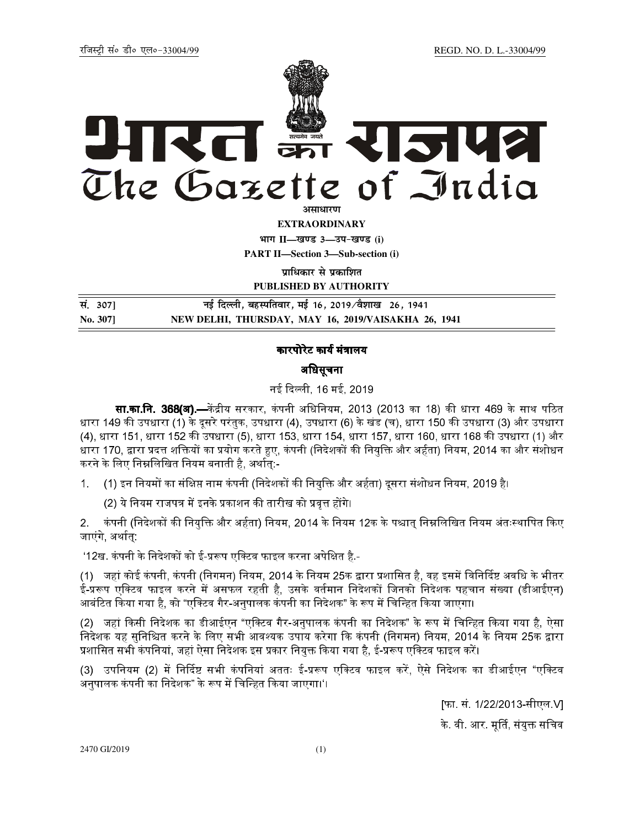# KLI SPI राजपत्र The Gazette of India

**EXTRAORDINARY** 

भाग II-खण्ड 3-उप-खण्ड (i)

**PART II-Section 3-Sub-section (i)** 

प्राधिकार से प्रकाशित

PUBLISHED BY AUTHORITY

नई दिल्ली, बहस्पतिवार, मई 16, 2019/वैशाख 26, 1941 सं. 307] No. 3071 NEW DELHI, THURSDAY, MAY 16, 2019/VAISAKHA 26, 1941

### कारपोरेट कार्य मंत्रालय

### अधिसूचना

नई दिल्ली, 16 मई, 2019

**सा.का.नि. 368(अ).—**केंद्रीय सरकार, कंपनी अधिनियम, 2013 (2013 का 18) की धारा 469 के साथ पठित धारा 149 की उपधारा (1) के दूसरे परंतुक, उपधारा (4), उपधारा (6) के खंड (च), धारा 150 की उपधारा (3) और उपधारा (4), धारा 151, धारा 152 की उपधारा (5), धारा 153, धारा 154, धारा 157, धारा 160, धारा 168 की उपधारा (1) और धारा 170, द्वारा प्रदत्त शक्तियों का प्रयोग करते हुए, कंपनी (निदेशकों की नियुक्ति और अर्हता) नियम, 2014 का और संशोधन करने के लिए निम्नलिखित नियम बनाती है, अर्थातु:-

(1) इन नियमों का संक्षिप्त नाम कंपनी (निदेशकों की नियुक्ति और अर्हता) दुसरा संशोधन नियम, 2019 है।  $1<sub>1</sub>$ 

(2) ये नियम राजपत्र में इनके प्रकाशन की तारीख को प्रवृत्त होंगे।

कंपनी (निदेशकों की नियुक्ति और अर्हता) नियम, 2014 के नियम 12क के पश्चात् निम्नलिखित नियम अंतःस्थापित किए  $2<sub>1</sub>$ जाएंगे, अर्थात्:

'12ख. कंपनी के निदेशकों को ई-प्ररूप एक्टिव फाइल करना अपेक्षित है -

(1) जहां कोई कंपनी, कंपनी (निगमन) नियम, 2014 के नियम 25क द्वारा प्रशासित है, वह इसमें विनिर्दिष्ट अवधि के भीतर ई-प्ररूप एक्टिव फाइल करने में असफल रहती है, उसके वर्तमान निदेशकों जिनको निदेशक पहचान संख्या (डीआईएन) आबंटित किया गया है, को "एक्टिव गैर-अनुपालक कंपनी का निदेशक" के रूप में चिन्हित किया जाएगा।

(2) जहां किसी निदेशक का डीआईएन "एक्टिव गैर-अनुपालक कंपनी का निदेशक" के रूप में चिन्हित किया गया है, ऐसा निदेशक यह सुनिश्चित करने के लिए सभी आवश्यक उपाय करेगा कि कंपनी (निगमन) नियम, 2014 के नियम 25क द्वारा प्रशासित सभी कंपनियां, जहां ऐसा निदेशक इस प्रकार नियुक्त किया गया है, ई-प्ररूप एक्टिव फाइल करें।

(3) उपनियम (2) में निर्दिष्ट सभी कंपनियां अततः ई-प्ररूप एक्टिव फाइल करें, ऐसे निदेशक का डीआईएन "एक्टिव अनुपालक कंपनी का निदेशक" के रूप में चिन्हित किया जाएगा।'।

> [फा. सं. 1/22/2013-सीएल V] के वी आर मूर्ति संयुक्त सचिव

2470 GI/2019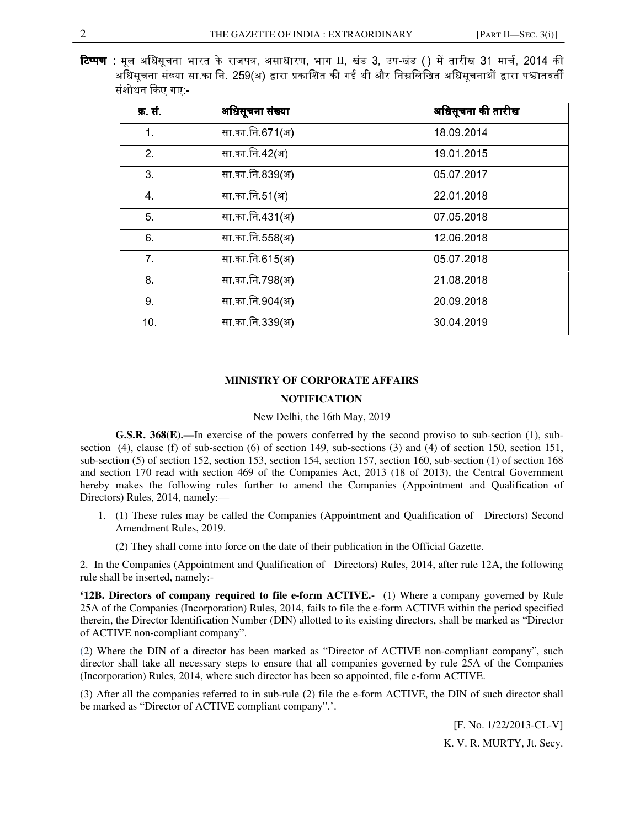**टिप्पण :** मूल अधिसूचना भारत के राजपत्र, असाधारण, भाग II, खंड 3, उप-खंड (i) में तारीख 31 मार्च, 2014 की अधिसचना संख्या सा.का.नि. 259(अ) द्वारा प्रकाशित की गई थी और निम्नलिखित अधिसचनाओं द्वारा पश्चातवर्ती संशोधन किए गए -

| क्र सं          | अधिसूचना संख्या | अधिसूचना की तारीख |
|-----------------|-----------------|-------------------|
| $\mathbf 1$     | सा का नि 671(अ) | 18 09 2014        |
| 2 <sub>1</sub>  | सा का नि 42(अ)  | 19 01 2015        |
| 3 <sub>1</sub>  | सा का नि 839(अ) | 05 07 2017        |
| 4               | सा का नि 51(अ)  | 22 01 2018        |
| 5.              | सा का नि 431(अ) | 07 05 2018        |
| 6.              | सा का नि 558(अ) | 12 06 2018        |
| 7 <sup>1</sup>  | सा का नि 615(अ) | 05 07 2018        |
| 8.              | सा का नि 798(अ) | 21 08 2018        |
| 9.              | सा का नि 904(अ) | 20 09 20 18       |
| 10 <sub>1</sub> | सा का नि 339(अ) | 30 04 2019        |

## **MINISTRY OF CORPORATE AFFAIRS NOTIFICATION**

#### New Delhi, the 16th May, 2019

**G.S.R. 368(E).—**In exercise of the powers conferred by the second proviso to sub-section (1), subsection (4), clause (f) of sub-section (6) of section 149, sub-sections (3) and (4) of section 150, section 151, sub-section (5) of section 152, section 153, section 154, section 157, section 160, sub-section (1) of section 168 and section 170 read with section 469 of the Companies Act, 2013 (18 of 2013), the Central Government hereby makes the following rules further to amend the Companies (Appointment and Qualification of Directors) Rules, 2014, namely:—

1. (1) These rules may be called the Companies (Appointment and Qualification of Directors) Second Amendment Rules, 2019.

(2) They shall come into force on the date of their publication in the Official Gazette.

2. In the Companies (Appointment and Qualification of Directors) Rules, 2014, after rule 12A, the following rule shall be inserted, namely:-

**'12B. Directors of company required to file e-form ACTIVE.-** (1) Where a company governed by Rule 25A of the Companies (Incorporation) Rules, 2014, fails to file the e-form ACTIVE within the period specified therein, the Director Identification Number (DIN) allotted to its existing directors, shall be marked as "Director of ACTIVE non-compliant company".

(2) Where the DIN of a director has been marked as "Director of ACTIVE non-compliant company", such director shall take all necessary steps to ensure that all companies governed by rule 25A of the Companies (Incorporation) Rules, 2014, where such director has been so appointed, file e-form ACTIVE.

(3) After all the companies referred to in sub-rule (2) file the e-form ACTIVE, the DIN of such director shall be marked as "Director of ACTIVE compliant company".'.

> [F. No. 1/22/2013-CL-V] K. V. R. MURTY, Jt. Secy.